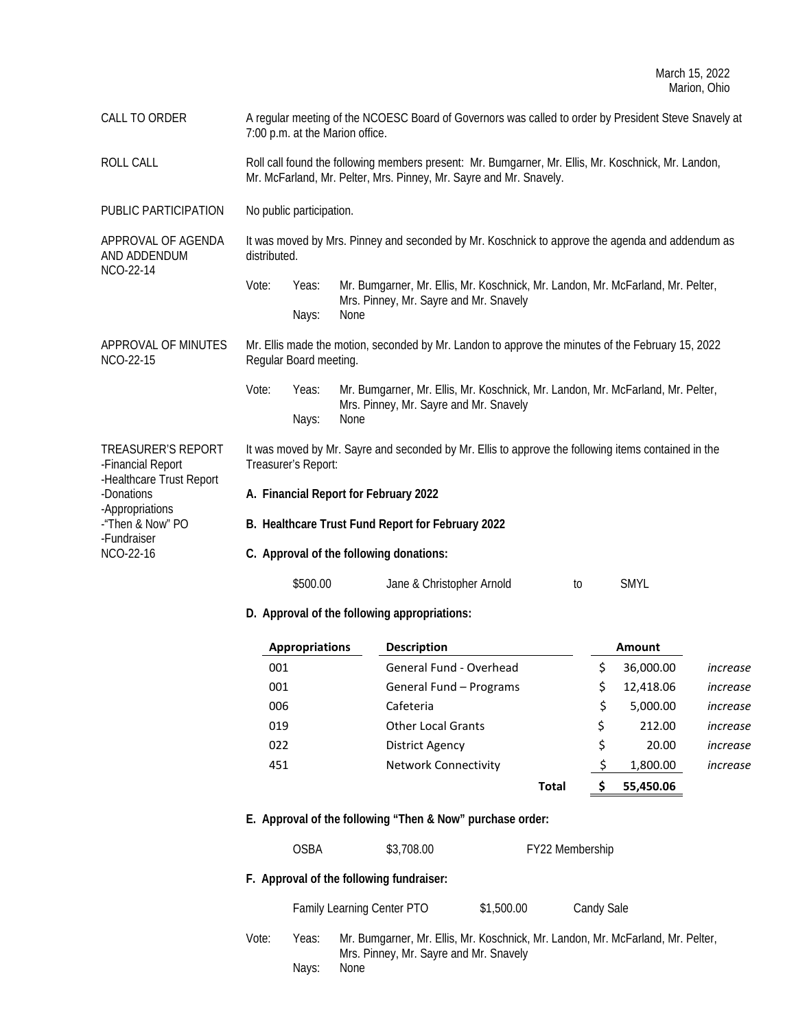CALL TO ORDER A regular meeting of the NCOESC Board of Governors was called to order by President Steve Snavely at 7:00 p.m. at the Marion office.

ROLL CALL CALL Roll call found the following members present: Mr. Bumgarner, Mr. Ellis, Mr. Koschnick, Mr. Landon, Mr. McFarland, Mr. Pelter, Mrs. Pinney, Mr. Sayre and Mr. Snavely.

PUBLIC PARTICIPATION No public participation.

NCO-22-15

-Financial Report -Healthcare Trust Report

-Donations -Appropriations -"Then & Now" PO -Fundraiser NCO-22-16

APPROVAL OF AGENDA AND ADDENDUM NCO-22-14 It was moved by Mrs. Pinney and seconded by Mr. Koschnick to approve the agenda and addendum as distributed.

> Vote: Yeas: Mr. Bumgarner, Mr. Ellis, Mr. Koschnick, Mr. Landon, Mr. McFarland, Mr. Pelter, Mrs. Pinney, Mr. Sayre and Mr. Snavely Nays: None

APPROVAL OF MINUTES Mr. Ellis made the motion, seconded by Mr. Landon to approve the minutes of the February 15, 2022 Regular Board meeting.

> Vote: Yeas: Mr. Bumgarner, Mr. Ellis, Mr. Koschnick, Mr. Landon, Mr. McFarland, Mr. Pelter, Mrs. Pinney, Mr. Sayre and Mr. Snavely Nays: None

TREASURER'S REPORT It was moved by Mr. Sayre and seconded by Mr. Ellis to approve the following items contained in the Treasurer's Report:

- **A. Financial Report for February 2022**
- **B. Healthcare Trust Fund Report for February 2022**
- **C. Approval of the following donations:**

| \$500.00 | Jane & Christopher Arnold |  | <b>SMYL</b> |
|----------|---------------------------|--|-------------|
|----------|---------------------------|--|-------------|

**D. Approval of the following appropriations:**

| <b>Appropriations</b> | <b>Description</b>          |       |    | <b>Amount</b> |          |
|-----------------------|-----------------------------|-------|----|---------------|----------|
| 001                   | General Fund - Overhead     |       | Ś  | 36,000.00     | increase |
| 001                   | General Fund - Programs     |       | \$ | 12,418.06     | increase |
| 006                   | Cafeteria                   |       | Ś. | 5,000.00      | increase |
| 019                   | <b>Other Local Grants</b>   |       | \$ | 212.00        | increase |
| 022                   | District Agency             |       | \$ | 20.00         | increase |
| 451                   | <b>Network Connectivity</b> |       |    | 1,800.00      | increase |
|                       |                             | Total | S  | 55,450.06     |          |

**E. Approval of the following "Then & Now" purchase order:**

OSBA \$3,708.00 FY22 Membership

# **F. Approval of the following fundraiser:**

Family Learning Center PTO \$1,500.00 Candy Sale

Vote: Yeas: Mr. Bumgarner, Mr. Ellis, Mr. Koschnick, Mr. Landon, Mr. McFarland, Mr. Pelter, Mrs. Pinney, Mr. Sayre and Mr. Snavely Nays: None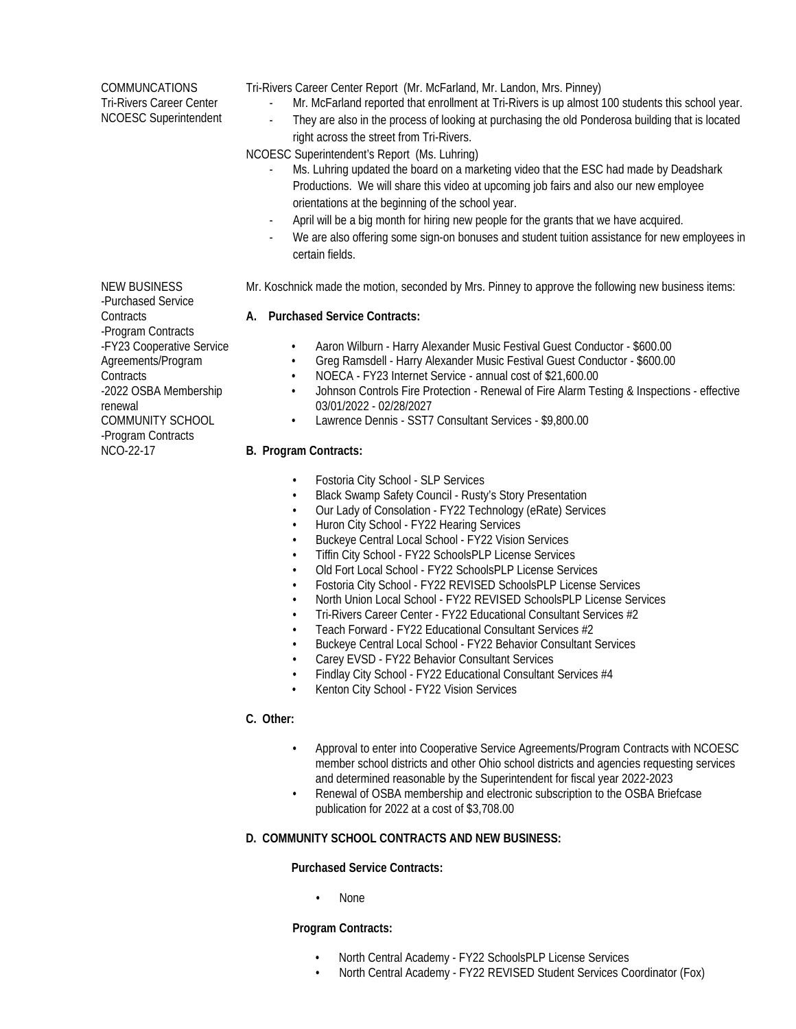**COMMUNCATIONS** Tri-Rivers Career Center NCOESC Superintendent Tri-Rivers Career Center Report (Mr. McFarland, Mr. Landon, Mrs. Pinney)

- Mr. McFarland reported that enrollment at Tri-Rivers is up almost 100 students this school year.
- They are also in the process of looking at purchasing the old Ponderosa building that is located

## right across the street from Tri-Rivers. NCOESC Superintendent's Report (Ms. Luhring)

- Ms. Luhring updated the board on a marketing video that the ESC had made by Deadshark Productions. We will share this video at upcoming job fairs and also our new employee orientations at the beginning of the school year.
- April will be a big month for hiring new people for the grants that we have acquired.
- We are also offering some sign-on bonuses and student tuition assistance for new employees in certain fields.
- Mr. Koschnick made the motion, seconded by Mrs. Pinney to approve the following new business items:

## **A. Purchased Service Contracts:**

- Aaron Wilburn Harry Alexander Music Festival Guest Conductor \$600.00
- Greg Ramsdell Harry Alexander Music Festival Guest Conductor \$600.00
- NOECA FY23 Internet Service annual cost of \$21,600.00
- Johnson Controls Fire Protection Renewal of Fire Alarm Testing & Inspections effective 03/01/2022 - 02/28/2027
- Lawrence Dennis SST7 Consultant Services \$9,800.00

## **B. Program Contracts:**

- Fostoria City School SLP Services
- Black Swamp Safety Council Rusty's Story Presentation
- Our Lady of Consolation FY22 Technology (eRate) Services
- Huron City School FY22 Hearing Services
- Buckeye Central Local School FY22 Vision Services
- Tiffin City School FY22 SchoolsPLP License Services
- Old Fort Local School FY22 SchoolsPLP License Services
- Fostoria City School FY22 REVISED SchoolsPLP License Services
- North Union Local School FY22 REVISED SchoolsPLP License Services
- Tri-Rivers Career Center FY22 Educational Consultant Services #2
- Teach Forward FY22 Educational Consultant Services #2
- Buckeye Central Local School FY22 Behavior Consultant Services
- Carey EVSD FY22 Behavior Consultant Services
- Findlay City School FY22 Educational Consultant Services #4
- Kenton City School FY22 Vision Services

# **C. Other:**

- Approval to enter into Cooperative Service Agreements/Program Contracts with NCOESC member school districts and other Ohio school districts and agencies requesting services and determined reasonable by the Superintendent for fiscal year 2022-2023
- Renewal of OSBA membership and electronic subscription to the OSBA Briefcase publication for 2022 at a cost of \$3,708.00

## **D. COMMUNITY SCHOOL CONTRACTS AND NEW BUSINESS:**

## **Purchased Service Contracts:**

• None

#### **Program Contracts:**

- North Central Academy FY22 SchoolsPLP License Services
- North Central Academy FY22 REVISED Student Services Coordinator (Fox)

NEW BUSINESS -Purchased Service **Contracts** -Program Contracts -FY23 Cooperative Service Agreements/Program **Contracts** -2022 OSBA Membership renewal COMMUNITY SCHOOL -Program Contracts NCO-22-17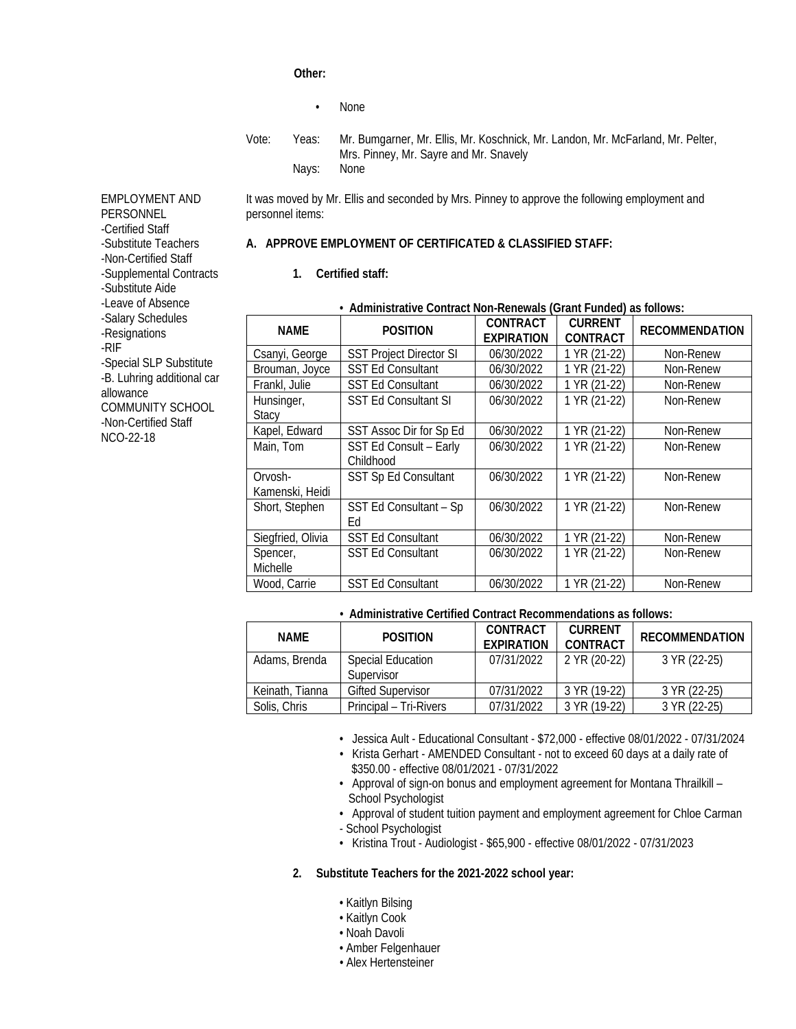## **Other:**

- None
- Vote: Yeas: Mr. Bumgarner, Mr. Ellis, Mr. Koschnick, Mr. Landon, Mr. McFarland, Mr. Pelter, Mrs. Pinney, Mr. Sayre and Mr. Snavely Nays: None

It was moved by Mr. Ellis and seconded by Mrs. Pinney to approve the following employment and personnel items:

# **A. APPROVE EMPLOYMENT OF CERTIFICATED & CLASSIFIED STAFF:**

**1. Certified staff:**

| · Administrative Contract Non-Renewals (Grant Funded) as follows: |                                     |                                      |                                   |                       |  |
|-------------------------------------------------------------------|-------------------------------------|--------------------------------------|-----------------------------------|-----------------------|--|
| <b>NAME</b>                                                       | <b>POSITION</b>                     | <b>CONTRACT</b><br><b>EXPIRATION</b> | <b>CURRENT</b><br><b>CONTRACT</b> | <b>RECOMMENDATION</b> |  |
| Csanyi, George                                                    | <b>SST Project Director SI</b>      | 06/30/2022                           | 1 YR (21-22)                      | Non-Renew             |  |
| Brouman, Joyce                                                    | <b>SST Ed Consultant</b>            | 06/30/2022                           | 1 YR (21-22)                      | Non-Renew             |  |
| Frankl, Julie                                                     | <b>SST Ed Consultant</b>            | 06/30/2022                           | 1 YR (21-22)                      | Non-Renew             |  |
| Hunsinger,<br><b>Stacy</b>                                        | <b>SST Ed Consultant SI</b>         | 06/30/2022                           | 1 YR (21-22)                      | Non-Renew             |  |
| Kapel, Edward                                                     | SST Assoc Dir for Sp Ed             | 06/30/2022                           | 1 YR (21-22)                      | Non-Renew             |  |
| Main, Tom                                                         | SST Ed Consult - Early<br>Childhood | 06/30/2022                           | 1 YR (21-22)                      | Non-Renew             |  |
| Orvosh-<br>Kamenski, Heidi                                        | <b>SST Sp Ed Consultant</b>         | 06/30/2022                           | 1 YR (21-22)                      | Non-Renew             |  |
| Short, Stephen                                                    | SST Ed Consultant - Sp<br>Ed        | 06/30/2022                           | 1 YR (21-22)                      | Non-Renew             |  |
| Siegfried, Olivia                                                 | <b>SST Ed Consultant</b>            | 06/30/2022                           | 1 YR (21-22)                      | Non-Renew             |  |
| Spencer,<br>Michelle                                              | <b>SST Ed Consultant</b>            | 06/30/2022                           | 1 YR (21-22)                      | Non-Renew             |  |
| Wood, Carrie                                                      | <b>SST Ed Consultant</b>            | 06/30/2022                           | 1 YR (21-22)                      | Non-Renew             |  |

# *•* **Administrative Certified Contract Recommendations as follows:**

| NAMF            | <b>POSITION</b>                        | CONTRACT<br><b>FXPIRATION</b> | <b>CURRENT</b><br>CONTRACT | <b>RECOMMENDATION</b> |
|-----------------|----------------------------------------|-------------------------------|----------------------------|-----------------------|
| Adams, Brenda   | <b>Special Education</b><br>Supervisor | 07/31/2022                    | 2 YR (20-22)               | 3 YR (22-25)          |
| Keinath, Tianna | <b>Gifted Supervisor</b>               | 07/31/2022                    | 3 YR (19-22)               | 3 YR (22-25)          |
| Solis, Chris    | Principal – Tri-Rivers                 | 07/31/2022                    | 3 YR (19-22)               | 3 YR (22-25)          |

- Jessica Ault Educational Consultant \$72,000 effective 08/01/2022 07/31/2024
- Krista Gerhart AMENDED Consultant not to exceed 60 days at a daily rate of \$350.00 - effective 08/01/2021 - 07/31/2022
- Approval of sign-on bonus and employment agreement for Montana Thrailkill School Psychologist
- Approval of student tuition payment and employment agreement for Chloe Carman - School Psychologist
- Kristina Trout Audiologist \$65,900 effective 08/01/2022 07/31/2023

#### **2. Substitute Teachers for the 2021-2022 school year:**

- Kaitlyn Bilsing
- Kaitlyn Cook
- Noah Davoli
- Amber Felgenhauer
- Alex Hertensteiner

EMPLOYMENT AND **PERSONNEL** -Certified Staff -Substitute Teachers -Non-Certified Staff -Supplemental Contracts -Substitute Aide -Leave of Absence -Salary Schedules -Resignations -RIF -Special SLP Substitute -B. Luhring additional car allowance COMMUNITY SCHOOL -Non-Certified Staff NCO-22-18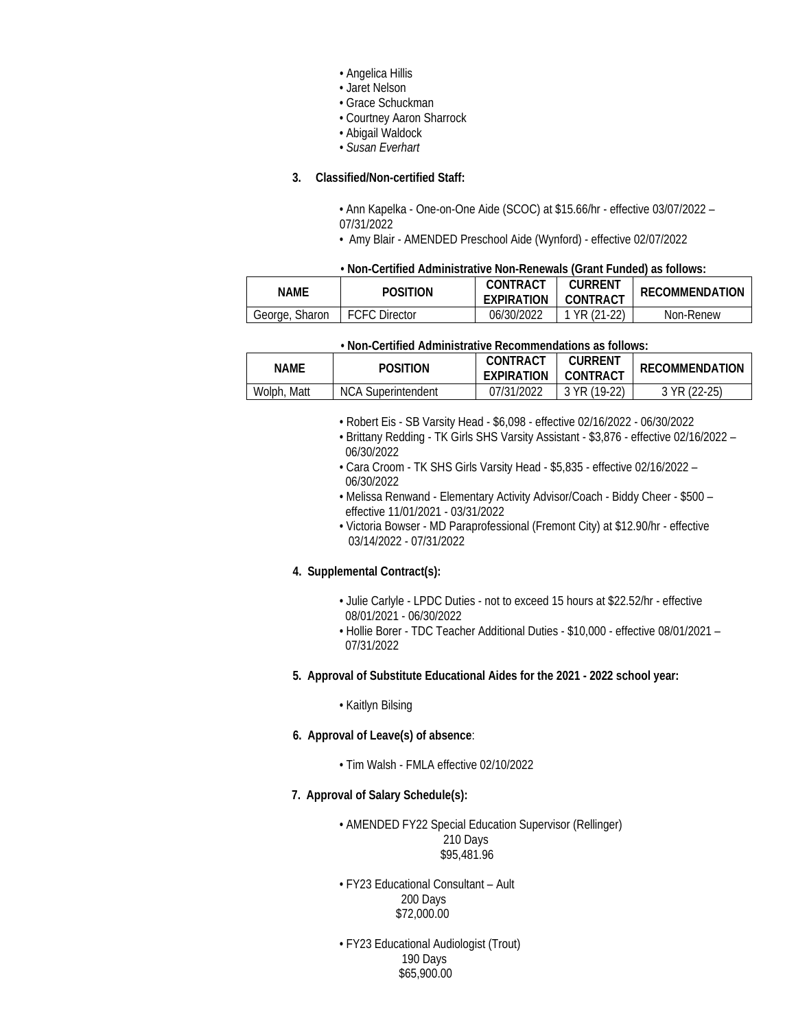- Angelica Hillis
- Jaret Nelson
- Grace Schuckman
- Courtney Aaron Sharrock
- Abigail Waldock
- *Susan Everhart*

## **3. Classified/Non-certified Staff:**

• Ann Kapelka - One-on-One Aide (SCOC) at \$15.66/hr - effective 03/07/2022 – 07/31/2022

• Amy Blair - AMENDED Preschool Aide (Wynford) - effective 02/07/2022

#### • **Non-Certified Administrative Non-Renewals (Grant Funded) as follows:**

| Name           | <b>POSITION</b>      | CONTRACT<br><b>EXPIRATION</b> | <b>CURRENT</b><br>CONTRACT | RECOMMENDATION |  |
|----------------|----------------------|-------------------------------|----------------------------|----------------|--|
| George, Sharon | <b>FCFC Director</b> | 06/30/2022                    | $Y$ VR (21-22)             | Non-Renew      |  |

| • Non-Certified Administrative Recommendations as follows: |                           |                               |                            |                       |  |
|------------------------------------------------------------|---------------------------|-------------------------------|----------------------------|-----------------------|--|
| <b>NAME</b>                                                | <b>POSITION</b>           | CONTRACT<br><b>FXPIRATION</b> | <b>CURRENT</b><br>CONTRACT | <b>RECOMMENDATION</b> |  |
| Wolph, Matt                                                | <b>NCA Superintendent</b> | 07/31/2022                    | 3 YR (19-22)               | 3 YR (22-25)          |  |

- Robert Eis SB Varsity Head \$6,098 effective 02/16/2022 06/30/2022
- Brittany Redding TK Girls SHS Varsity Assistant \$3,876 effective 02/16/2022 06/30/2022
- Cara Croom TK SHS Girls Varsity Head \$5,835 effective 02/16/2022 06/30/2022
- Melissa Renwand Elementary Activity Advisor/Coach Biddy Cheer \$500 effective 11/01/2021 - 03/31/2022
- Victoria Bowser MD Paraprofessional (Fremont City) at \$12.90/hr effective 03/14/2022 - 07/31/2022

## **4. Supplemental Contract(s):**

- Julie Carlyle LPDC Duties not to exceed 15 hours at \$22.52/hr effective 08/01/2021 - 06/30/2022
- Hollie Borer TDC Teacher Additional Duties \$10,000 effective 08/01/2021 07/31/2022

#### **5. Approval of Substitute Educational Aides for the 2021 - 2022 school year:**

#### • Kaitlyn Bilsing

#### **6. Approval of Leave(s) of absence**:

- Tim Walsh FMLA effective 02/10/2022
- **7. Approval of Salary Schedule(s):**

• AMENDED FY22 Special Education Supervisor (Rellinger) 210 Days \$95,481.96

• FY23 Educational Consultant – Ault 200 Days \$72,000.00

• FY23 Educational Audiologist (Trout) 190 Days \$65,900.00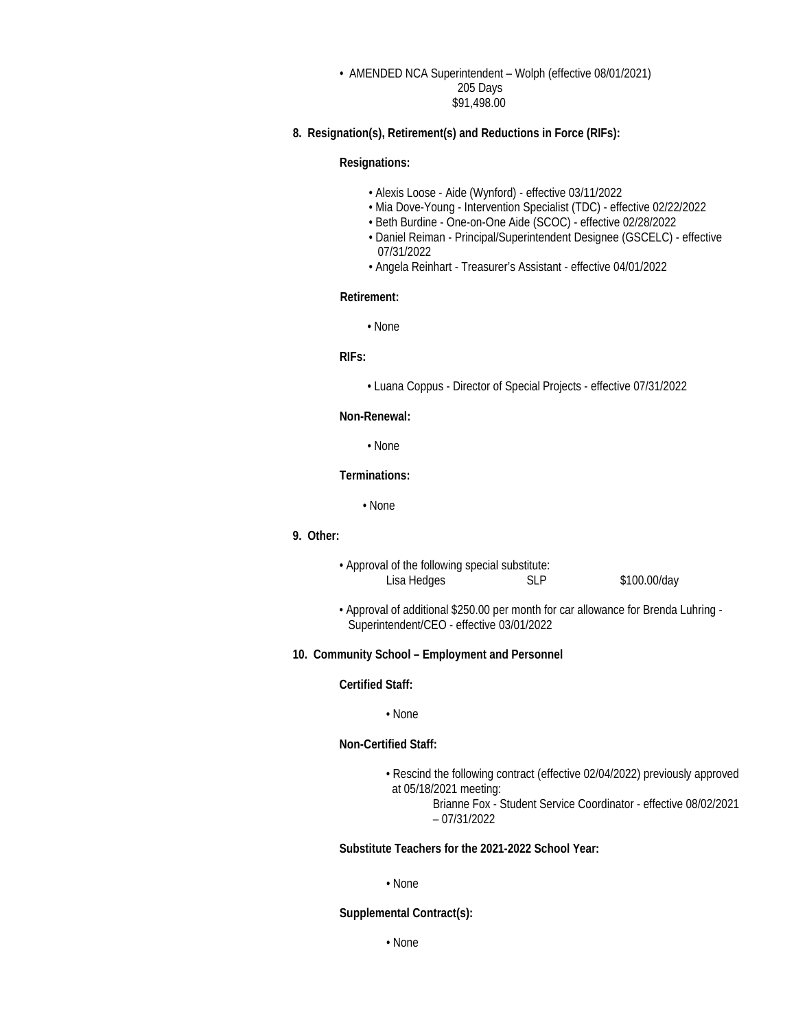### • AMENDED NCA Superintendent – Wolph (effective 08/01/2021) 205 Days \$91,498.00

## **8. Resignation(s), Retirement(s) and Reductions in Force (RIFs):**

## **Resignations:**

- Alexis Loose Aide (Wynford) effective 03/11/2022
- Mia Dove-Young Intervention Specialist (TDC) effective 02/22/2022
- Beth Burdine One-on-One Aide (SCOC) effective 02/28/2022
- Daniel Reiman Principal/Superintendent Designee (GSCELC) effective 07/31/2022
- Angela Reinhart Treasurer's Assistant effective 04/01/2022

#### **Retirement:**

• None

## **RIFs:**

• Luana Coppus - Director of Special Projects - effective 07/31/2022

# **Non-Renewal:**

• None

#### **Terminations:**

• None

# **9. Other:**

• Approval of the following special substitute: Lisa Hedges SLP \$100.00/day

• Approval of additional \$250.00 per month for car allowance for Brenda Luhring - Superintendent/CEO - effective 03/01/2022

#### **10. Community School – Employment and Personnel**

#### **Certified Staff:**

#### • None

## **Non-Certified Staff:**

• Rescind the following contract (effective 02/04/2022) previously approved at 05/18/2021 meeting:

> Brianne Fox - Student Service Coordinator - effective 08/02/2021 – 07/31/2022

## **Substitute Teachers for the 2021-2022 School Year:**

#### • None

#### **Supplemental Contract(s):**

• None